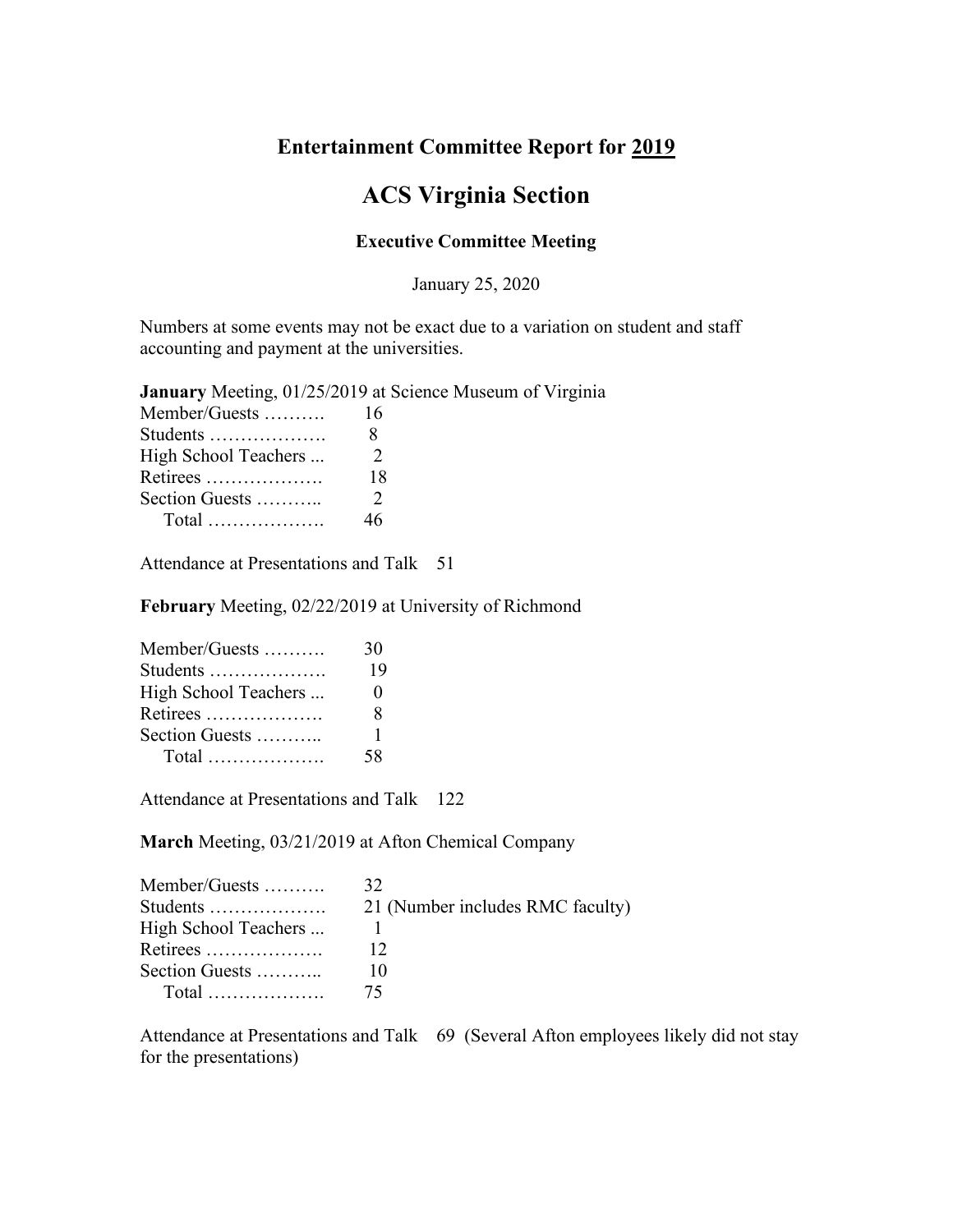## **Entertainment Committee Report for 2019**

## **ACS Virginia Section**

## **Executive Committee Meeting**

January 25, 2020

Numbers at some events may not be exact due to a variation on student and staff accounting and payment at the universities.

**January** Meeting, 01/25/2019 at Science Museum of Virginia

| Member/Guests        | 16            |
|----------------------|---------------|
| Students             | 8             |
| High School Teachers | $\mathcal{L}$ |
| Retirees             | 18            |
| Section Guests       | 2             |
|                      | 46.           |
|                      |               |

Attendance at Presentations and Talk 51

**February** Meeting, 02/22/2019 at University of Richmond

| Member/Guests        | 30           |
|----------------------|--------------|
| Students             | 19           |
| High School Teachers | $\mathbf{0}$ |
| Retirees             | х            |
| Section Guests       | 1            |
|                      | 58           |

Attendance at Presentations and Talk 122

**March** Meeting, 03/21/2019 at Afton Chemical Company

| Member/Guests        | 32                               |
|----------------------|----------------------------------|
| Students             | 21 (Number includes RMC faculty) |
| High School Teachers |                                  |
| Retirees             |                                  |
| Section Guests       |                                  |
| Total $\ldots$ 75    |                                  |

Attendance at Presentations and Talk 69 (Several Afton employees likely did not stay for the presentations)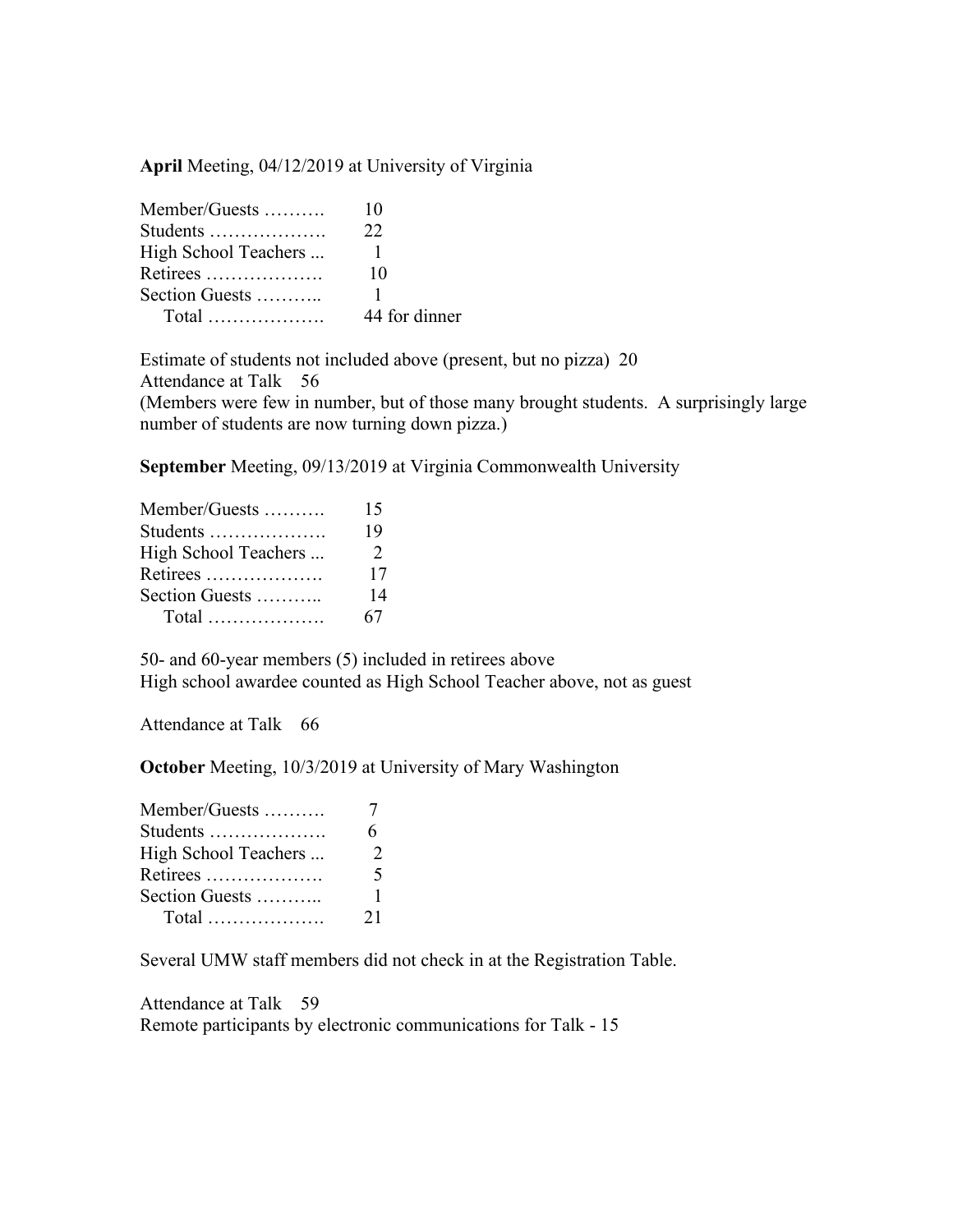**April** Meeting, 04/12/2019 at University of Virginia

| Member/Guests        | 10            |
|----------------------|---------------|
| Students             | 22            |
| High School Teachers |               |
| Retirees             | 10            |
| Section Guests       |               |
| $Total$              | 44 for dinner |

Estimate of students not included above (present, but no pizza) 20 Attendance at Talk 56 (Members were few in number, but of those many brought students. A surprisingly large number of students are now turning down pizza.)

**September** Meeting, 09/13/2019 at Virginia Commonwealth University

| Member/Guests        | 15            |
|----------------------|---------------|
| Students             | 19            |
| High School Teachers | $\mathcal{L}$ |
| Retirees             | 17            |
| Section Guests       | 14            |
|                      | 67            |

50- and 60-year members (5) included in retirees above High school awardee counted as High School Teacher above, not as guest

Attendance at Talk 66

**October** Meeting, 10/3/2019 at University of Mary Washington

| Member/Guests        |          |
|----------------------|----------|
| Students             |          |
| High School Teachers | $\gamma$ |
| Retirees             | 5        |
| Section Guests       | 1.       |
|                      | 21       |

Several UMW staff members did not check in at the Registration Table.

Attendance at Talk 59 Remote participants by electronic communications for Talk - 15